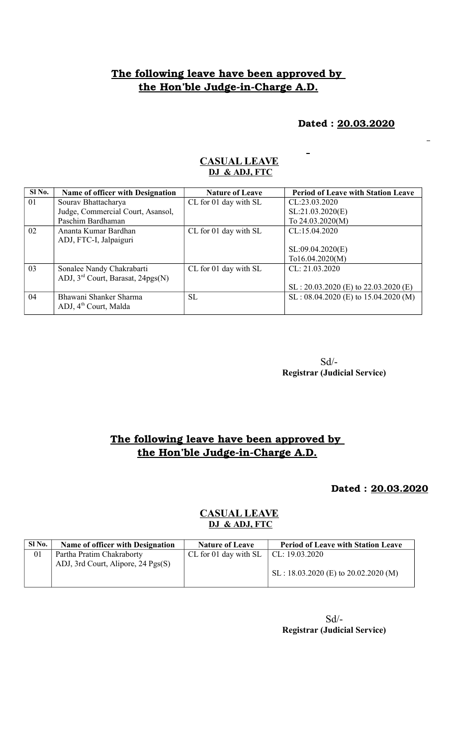## **The following leave have been approved by**  the Hon'ble Judge-in-Charge A.D.

 **Dated : 20.03.2020**

 $\overline{a}$ 

| Sl No. | Name of officer with Designation              | <b>Nature of Leave</b> | <b>Period of Leave with Station Leave</b> |
|--------|-----------------------------------------------|------------------------|-------------------------------------------|
| 01     | Sourav Bhattacharya                           | CL for 01 day with SL  | CL:23.03.2020                             |
|        | Judge, Commercial Court, Asansol,             |                        | SL:21.03.2020(E)                          |
|        | Paschim Bardhaman                             |                        | To 24.03.2020(M)                          |
| 02     | Ananta Kumar Bardhan                          | CL for 01 day with SL  | CL:15.04.2020                             |
|        | ADJ, FTC-I, Jalpaiguri                        |                        |                                           |
|        |                                               |                        | SL:09.04.2020(E)                          |
|        |                                               |                        | $T_016.04.2020(M)$                        |
| 03     | Sonalee Nandy Chakrabarti                     | CL for 01 day with SL  | CL: 21.03.2020                            |
|        | ADJ, 3 <sup>rd</sup> Court, Barasat, 24pgs(N) |                        |                                           |
|        |                                               |                        | $SL: 20.03.2020$ (E) to 22.03.2020 (E)    |
| 04     | Bhawani Shanker Sharma                        | SL.                    | $SL: 08.04.2020$ (E) to 15.04.2020 (M)    |
|        | ADJ, 4 <sup>th</sup> Court, Malda             |                        |                                           |
|        |                                               |                        |                                           |

#### **CASUAL LEAVE DJ & ADJ, FTC**

 Sd/- **Registrar (Judicial Service)**

## **The following leave have been approved by**  the Hon'ble Judge-in-Charge A.D.

#### **Dated : 20.03.2020**

#### **CASUAL LEAVE DJ & ADJ, FTC**

| SI <sub>No.</sub> | <b>Name of officer with Designation</b> | <b>Nature of Leave</b>                       | <b>Period of Leave with Station Leave</b>     |
|-------------------|-----------------------------------------|----------------------------------------------|-----------------------------------------------|
| 01                | Partha Pratim Chakraborty               | CL for 01 day with SL $\vert$ CL: 19.03.2020 |                                               |
|                   | ADJ, 3rd Court, Alipore, 24 Pgs(S)      |                                              |                                               |
|                   |                                         |                                              | $\vert$ SL : 18.03.2020 (E) to 20.02.2020 (M) |
|                   |                                         |                                              |                                               |

 Sd/- **Registrar (Judicial Service)**